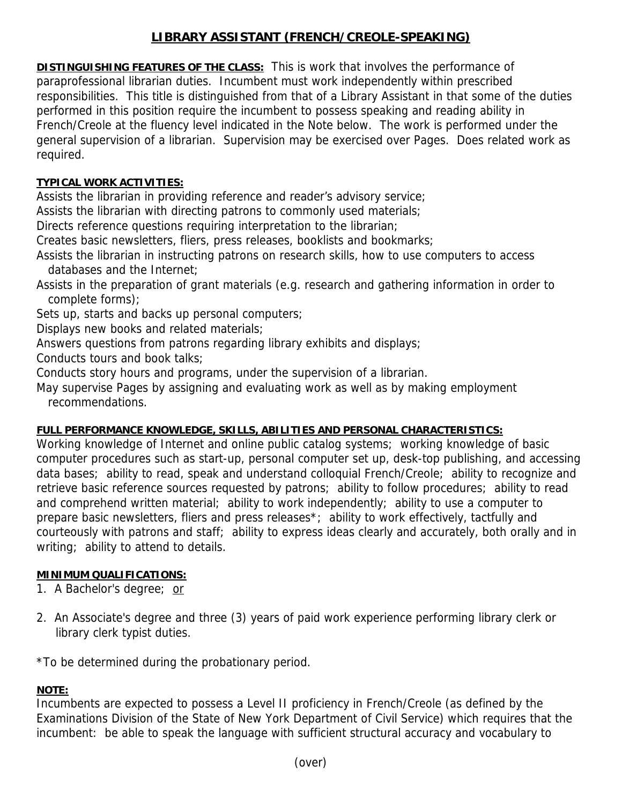# **LIBRARY ASSISTANT (FRENCH/CREOLE-SPEAKING)**

**DISTINGUISHING FEATURES OF THE CLASS:** This is work that involves the performance of paraprofessional librarian duties. Incumbent must work independently within prescribed responsibilities. This title is distinguished from that of a Library Assistant in that some of the duties performed in this position require the incumbent to possess speaking and reading ability in French/Creole at the fluency level indicated in the Note below. The work is performed under the general supervision of a librarian. Supervision may be exercised over Pages. Does related work as required.

### **TYPICAL WORK ACTIVITIES:**

Assists the librarian in providing reference and reader's advisory service;

Assists the librarian with directing patrons to commonly used materials;

Directs reference questions requiring interpretation to the librarian;

Creates basic newsletters, fliers, press releases, booklists and bookmarks;

Assists the librarian in instructing patrons on research skills, how to use computers to access databases and the Internet;

Assists in the preparation of grant materials (e.g. research and gathering information in order to complete forms);

Sets up, starts and backs up personal computers;

Displays new books and related materials;

Answers questions from patrons regarding library exhibits and displays;

Conducts tours and book talks;

Conducts story hours and programs, under the supervision of a librarian.

May supervise Pages by assigning and evaluating work as well as by making employment recommendations.

#### **FULL PERFORMANCE KNOWLEDGE, SKILLS, ABILITIES AND PERSONAL CHARACTERISTICS:**

Working knowledge of Internet and online public catalog systems; working knowledge of basic computer procedures such as start-up, personal computer set up, desk-top publishing, and accessing data bases; ability to read, speak and understand colloquial French/Creole; ability to recognize and retrieve basic reference sources requested by patrons; ability to follow procedures; ability to read and comprehend written material; ability to work independently; ability to use a computer to prepare basic newsletters, fliers and press releases\*; ability to work effectively, tactfully and courteously with patrons and staff; ability to express ideas clearly and accurately, both orally and in writing; ability to attend to details.

## **MINIMUM QUALIFICATIONS:**

1. A Bachelor's degree; or

2. An Associate's degree and three (3) years of paid work experience performing library clerk or library clerk typist duties.

\*To be determined during the probationary period.

#### **NOTE:**

Incumbents are expected to possess a Level II proficiency in French/Creole (as defined by the Examinations Division of the State of New York Department of Civil Service) which requires that the incumbent: be able to speak the language with sufficient structural accuracy and vocabulary to